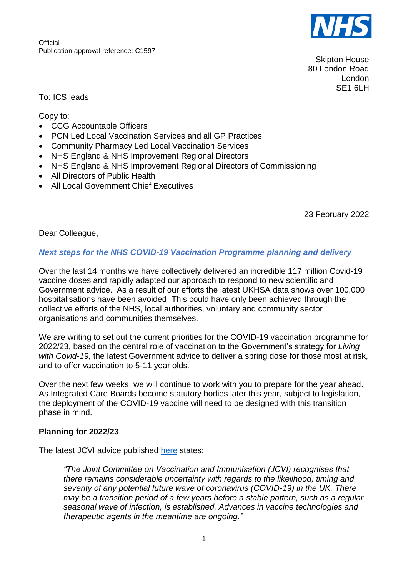**Official** Publication approval reference: C1597



Skipton House 80 London Road London SE1 6LH

To: ICS leads

Copy to:

- CCG Accountable Officers
- PCN Led Local Vaccination Services and all GP Practices
- Community Pharmacy Led Local Vaccination Services
- NHS England & NHS Improvement Regional Directors
- NHS England & NHS Improvement Regional Directors of Commissioning
- All Directors of Public Health
- All Local Government Chief Executives

23 February 2022

Dear Colleague,

#### *Next steps for the NHS COVID-19 Vaccination Programme planning and delivery*

Over the last 14 months we have collectively delivered an incredible 117 million Covid-19 vaccine doses and rapidly adapted our approach to respond to new scientific and Government advice. As a result of our efforts the latest UKHSA data shows over 100,000 hospitalisations have been avoided. This could have only been achieved through the collective efforts of the NHS, local authorities, voluntary and community sector organisations and communities themselves.

We are writing to set out the current priorities for the COVID-19 vaccination programme for 2022/23, based on the central role of vaccination to the Government's strategy for *Living with Covid-19,* the latest Government advice to deliver a spring dose for those most at risk, and to offer vaccination to 5-11 year olds*.* 

Over the next few weeks, we will continue to work with you to prepare for the year ahead. As Integrated Care Boards become statutory bodies later this year, subject to legislation, the deployment of the COVID-19 vaccine will need to be designed with this transition phase in mind.

#### **Planning for 2022/23**

The latest JCVI advice published [here](https://www.gov.uk/government/publications/joint-committee-on-vaccination-and-immunisation-statement-on-covid-19-vaccinations-in-2022/joint-committee-on-vaccination-and-immunisation-jcvi-statement-on-covid-19-vaccinations-in-2022-21-february-2022) states:

*"The Joint Committee on Vaccination and Immunisation (JCVI) recognises that there remains considerable uncertainty with regards to the likelihood, timing and severity of any potential future wave of coronavirus (COVID-19) in the UK. There may be a transition period of a few years before a stable pattern, such as a regular seasonal wave of infection, is established. Advances in vaccine technologies and therapeutic agents in the meantime are ongoing."*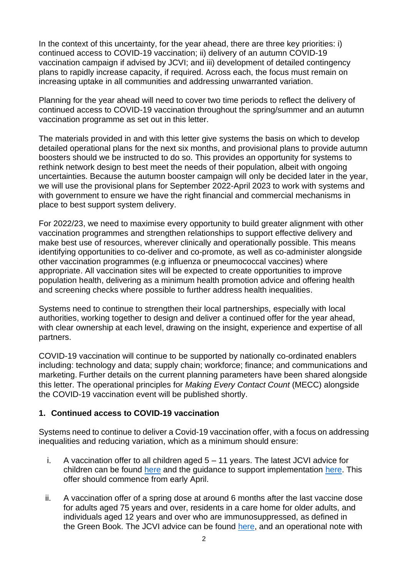In the context of this uncertainty, for the year ahead, there are three key priorities: i) continued access to COVID-19 vaccination; ii) delivery of an autumn COVID-19 vaccination campaign if advised by JCVI; and iii) development of detailed contingency plans to rapidly increase capacity, if required. Across each, the focus must remain on increasing uptake in all communities and addressing unwarranted variation.

Planning for the year ahead will need to cover two time periods to reflect the delivery of continued access to COVID-19 vaccination throughout the spring/summer and an autumn vaccination programme as set out in this letter.

The materials provided in and with this letter give systems the basis on which to develop detailed operational plans for the next six months, and provisional plans to provide autumn boosters should we be instructed to do so. This provides an opportunity for systems to rethink network design to best meet the needs of their population, albeit with ongoing uncertainties. Because the autumn booster campaign will only be decided later in the year, we will use the provisional plans for September 2022-April 2023 to work with systems and with government to ensure we have the right financial and commercial mechanisms in place to best support system delivery.

For 2022/23, we need to maximise every opportunity to build greater alignment with other vaccination programmes and strengthen relationships to support effective delivery and make best use of resources, wherever clinically and operationally possible. This means identifying opportunities to co-deliver and co-promote, as well as co-administer alongside other vaccination programmes (e.g influenza or pneumococcal vaccines) where appropriate. All vaccination sites will be expected to create opportunities to improve population health, delivering as a minimum health promotion advice and offering health and screening checks where possible to further address health inequalities.

Systems need to continue to strengthen their local partnerships, especially with local authorities, working together to design and deliver a continued offer for the year ahead, with clear ownership at each level, drawing on the insight, experience and expertise of all partners.

COVID-19 vaccination will continue to be supported by nationally co-ordinated enablers including: technology and data; supply chain; workforce; finance; and communications and marketing. Further details on the current planning parameters have been shared alongside this letter. The operational principles for *Making Every Contact Count* (MECC) alongside the COVID-19 vaccination event will be published shortly.

# **1. Continued access to COVID-19 vaccination**

Systems need to continue to deliver a Covid-19 vaccination offer, with a focus on addressing inequalities and reducing variation, which as a minimum should ensure:

- i. A vaccination offer to all children aged 5 11 years. The latest JCVI advice for children can be found [here](https://www.gov.uk/government/publications/jcvi-update-on-advice-for-covid-19-vaccination-of-children-aged-5-to-11/jcvi-statement-on-vaccination-of-children-aged-5-to-11-years-old) and the guidance to support implementation [here.](https://www.england.nhs.uk/coronavirus/wp-content/uploads/sites/52/2022/02/C1591-updated-jcvi-advice-for-vaccinating-5-11-year-olds-18-02-22.pdf) This offer should commence from early April.
- ii. A vaccination offer of a spring dose at around 6 months after the last vaccine dose for adults aged 75 years and over, residents in a care home for older adults, and individuals aged 12 years and over who are immunosuppressed, as defined in the [Green Book.](https://www.gov.uk/government/publications/covid-19-the-green-book-chapter-14a) The JCVI advice can be found [here,](https://www.gov.uk/government/publications/joint-committee-on-vaccination-and-immunisation-statement-on-covid-19-vaccinations-in-2022/joint-committee-on-vaccination-and-immunisation-jcvi-statement-on-covid-19-vaccinations-in-2022-21-february-2022) and an operational note with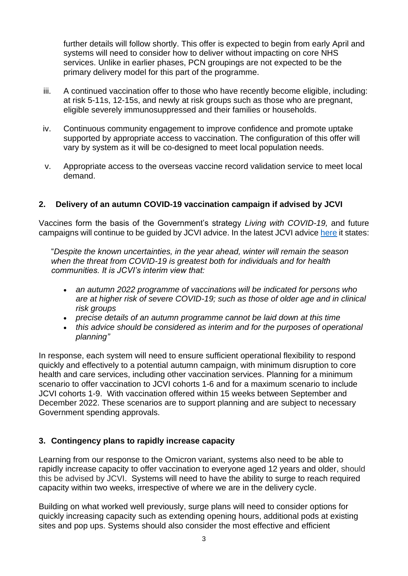further details will follow shortly. This offer is expected to begin from early April and systems will need to consider how to deliver without impacting on core NHS services. Unlike in earlier phases, PCN groupings are not expected to be the primary delivery model for this part of the programme.

- iii. A continued vaccination offer to those who have recently become eligible, including: at risk 5-11s, 12-15s, and newly at risk groups such as those who are pregnant, eligible severely immunosuppressed and their families or households.
- iv. Continuous community engagement to improve confidence and promote uptake supported by appropriate access to vaccination. The configuration of this offer will vary by system as it will be co-designed to meet local population needs.
- v. Appropriate access to the overseas vaccine record validation service to meet local demand.

# **2. Delivery of an autumn COVID-19 vaccination campaign if advised by JCVI**

Vaccines form the basis of the Government's strategy *Living with COVID-19,* and future campaigns will continue to be guided by JCVI advice. In the latest JCVI advice [here](https://www.gov.uk/government/publications/joint-committee-on-vaccination-and-immunisation-statement-on-covid-19-vaccinations-in-2022/joint-committee-on-vaccination-and-immunisation-jcvi-statement-on-covid-19-vaccinations-in-2022-21-february-2022) it states:

"*Despite the known uncertainties, in the year ahead, winter will remain the season when the threat from COVID-19 is greatest both for individuals and for health communities. It is JCVI's interim view that:*

- *an autumn 2022 programme of vaccinations will be indicated for persons who are at higher risk of severe COVID-19; such as those of older age and in clinical risk groups*
- *precise details of an autumn programme cannot be laid down at this time*
- *this advice should be considered as interim and for the purposes of operational planning"*

In response, each system will need to ensure sufficient operational flexibility to respond quickly and effectively to a potential autumn campaign, with minimum disruption to core health and care services, including other vaccination services. Planning for a minimum scenario to offer vaccination to JCVI cohorts 1-6 and for a maximum scenario to include JCVI cohorts 1-9. With vaccination offered within 15 weeks between September and December 2022. These scenarios are to support planning and are subject to necessary Government spending approvals.

# **3. Contingency plans to rapidly increase capacity**

Learning from our response to the Omicron variant, systems also need to be able to rapidly increase capacity to offer vaccination to everyone aged 12 years and older, should this be advised by JCVI. Systems will need to have the ability to surge to reach required capacity within two weeks, irrespective of where we are in the delivery cycle.

Building on what worked well previously, surge plans will need to consider options for quickly increasing capacity such as extending opening hours, additional pods at existing sites and pop ups. Systems should also consider the most effective and efficient